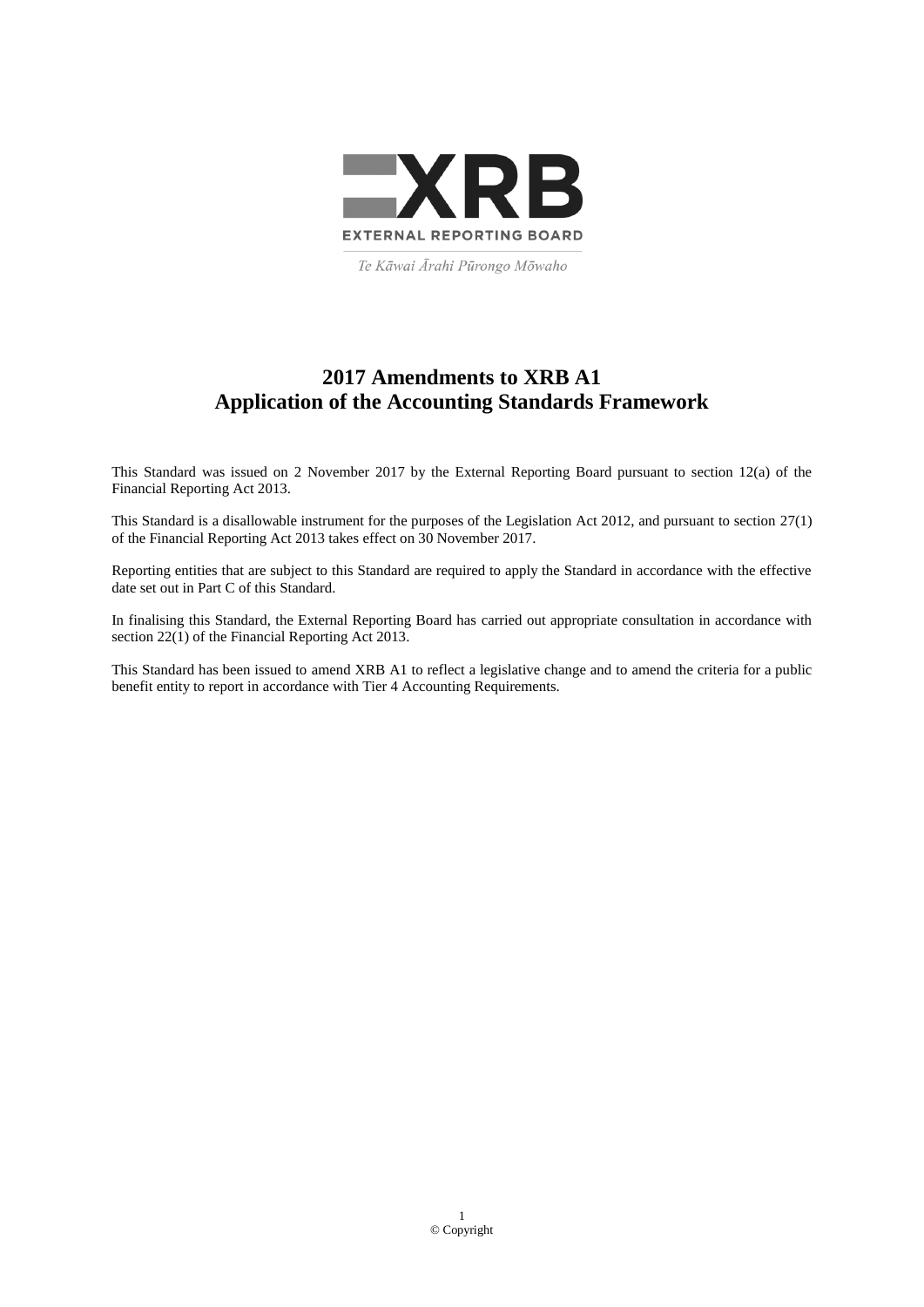

Te Kāwai Ārahi Pūrongo Mōwaho

# **2017 Amendments to XRB A1 Application of the Accounting Standards Framework**

This Standard was issued on 2 November 2017 by the External Reporting Board pursuant to section 12(a) of the Financial Reporting Act 2013.

This Standard is a disallowable instrument for the purposes of the Legislation Act 2012, and pursuant to section 27(1) of the Financial Reporting Act 2013 takes effect on 30 November 2017.

Reporting entities that are subject to this Standard are required to apply the Standard in accordance with the effective date set out in Part C of this Standard.

In finalising this Standard, the External Reporting Board has carried out appropriate consultation in accordance with section 22(1) of the Financial Reporting Act 2013.

This Standard has been issued to amend XRB A1 to reflect a legislative change and to amend the criteria for a public benefit entity to report in accordance with Tier 4 Accounting Requirements.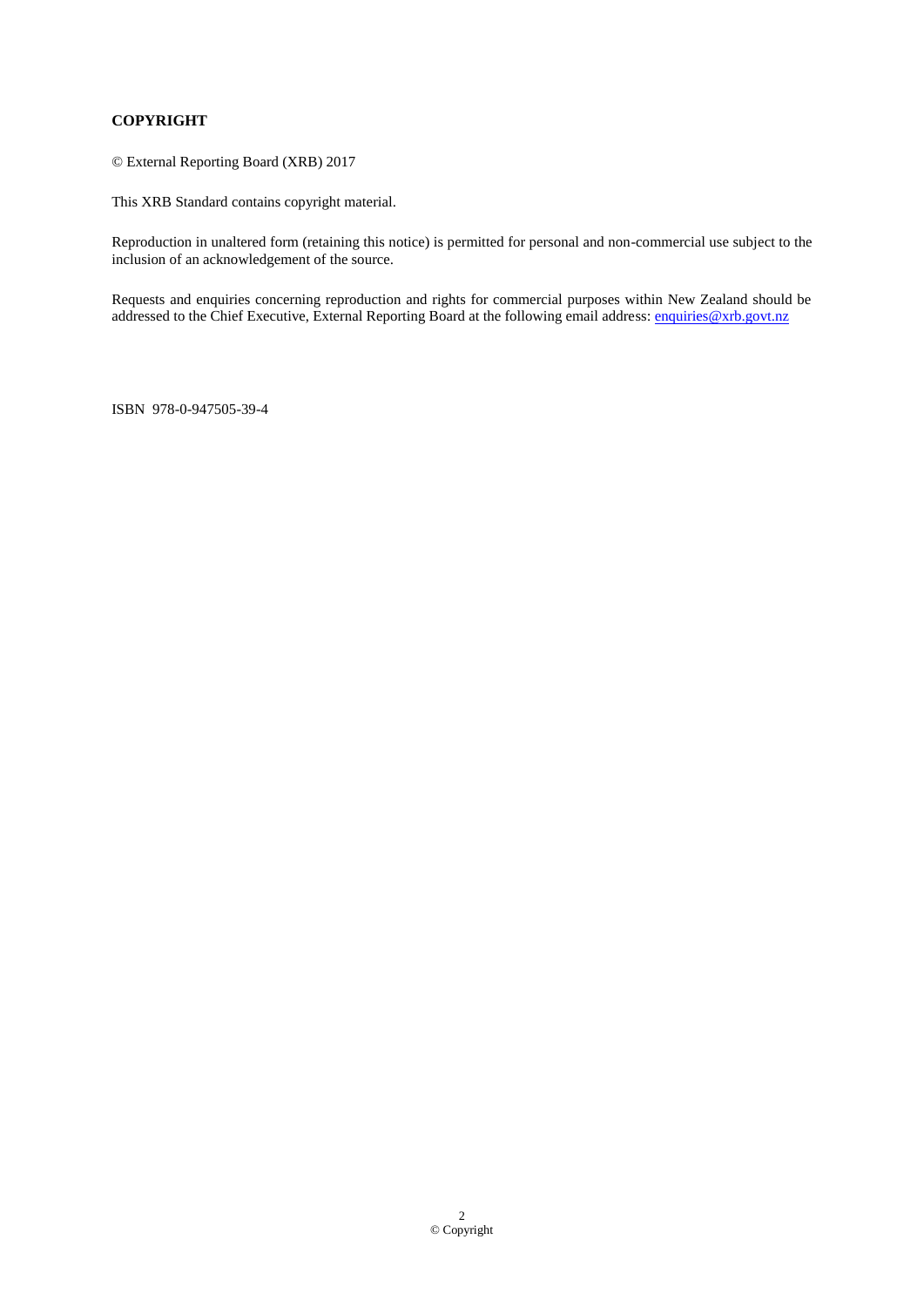# **COPYRIGHT**

© External Reporting Board (XRB) 2017

This XRB Standard contains copyright material.

Reproduction in unaltered form (retaining this notice) is permitted for personal and non-commercial use subject to the inclusion of an acknowledgement of the source.

Requests and enquiries concerning reproduction and rights for commercial purposes within New Zealand should be addressed to the Chief Executive, External Reporting Board at the following email address: [enquiries@xrb.govt.nz](mailto:enquiries@xrb.govt.nz)

ISBN 978-0-947505-39-4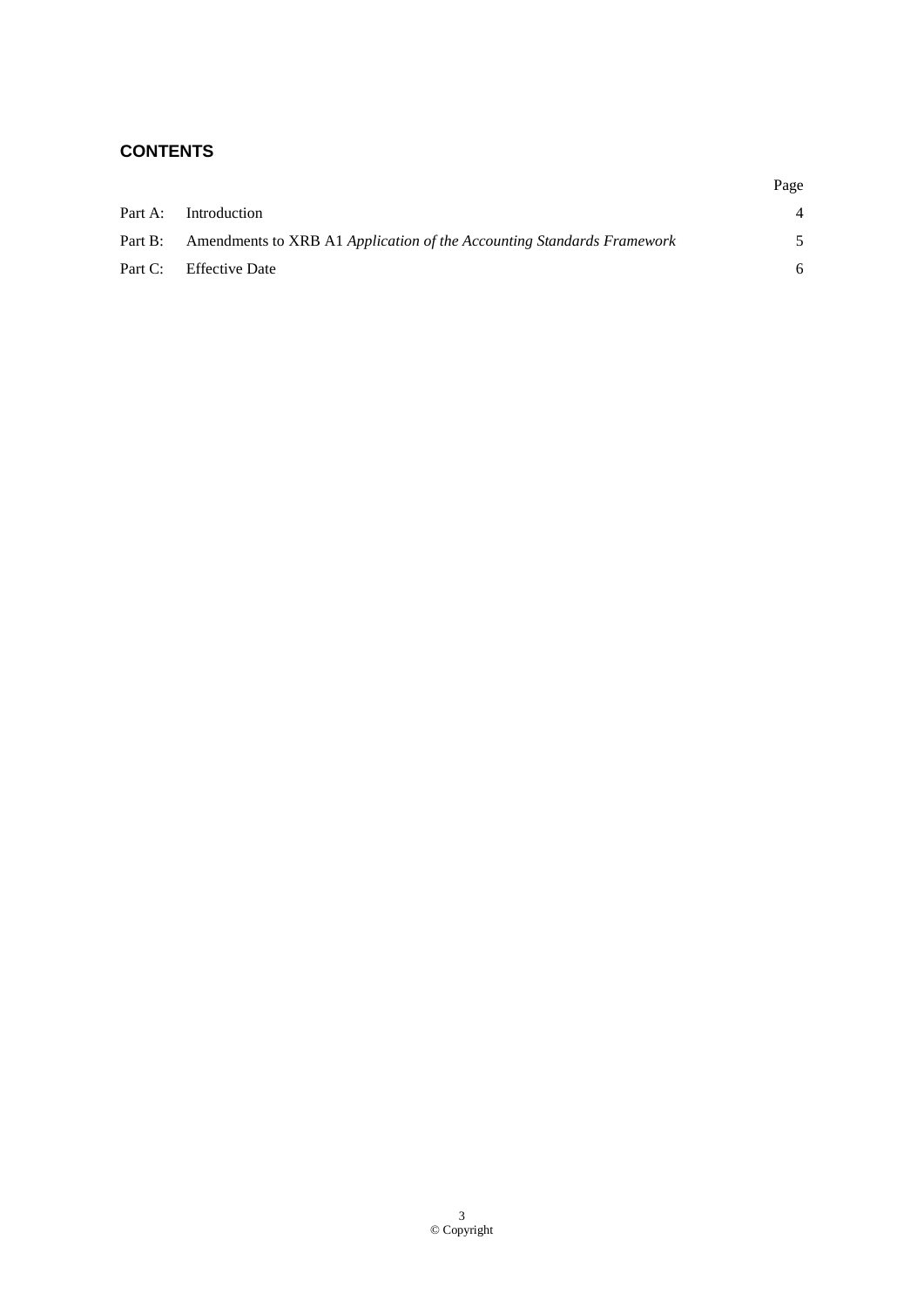# **CONTENTS**

|                                                                                | Page |
|--------------------------------------------------------------------------------|------|
| Part A: Introduction                                                           |      |
| Part B: Amendments to XRB A1 Application of the Accounting Standards Framework | 5    |
| Part C: Effective Date                                                         | 6    |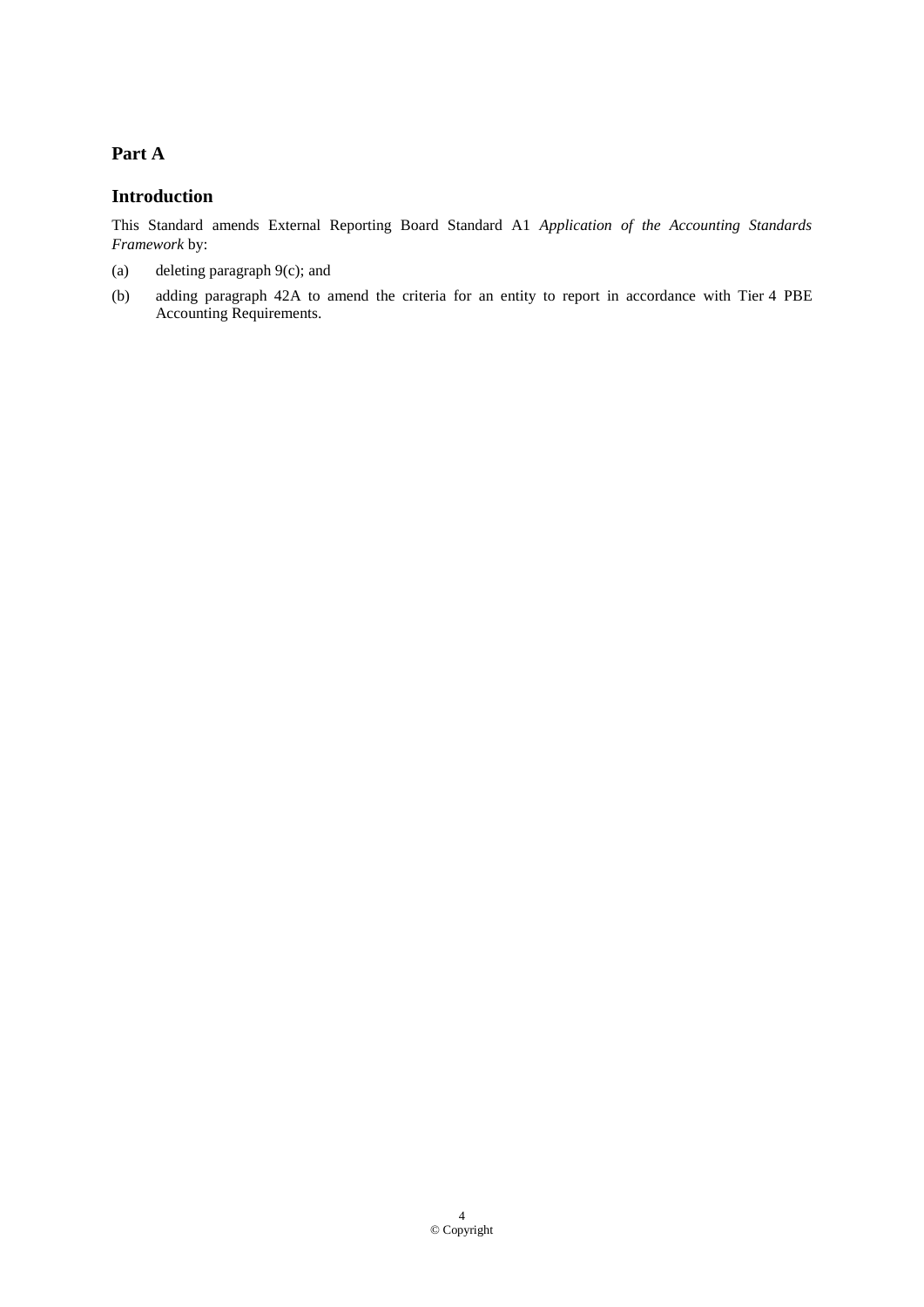## **Part A**

#### **Introduction**

This Standard amends External Reporting Board Standard A1 *Application of the Accounting Standards Framework* by:

- (a) deleting paragraph 9(c); and
- (b) adding paragraph 42A to amend the criteria for an entity to report in accordance with Tier 4 PBE Accounting Requirements.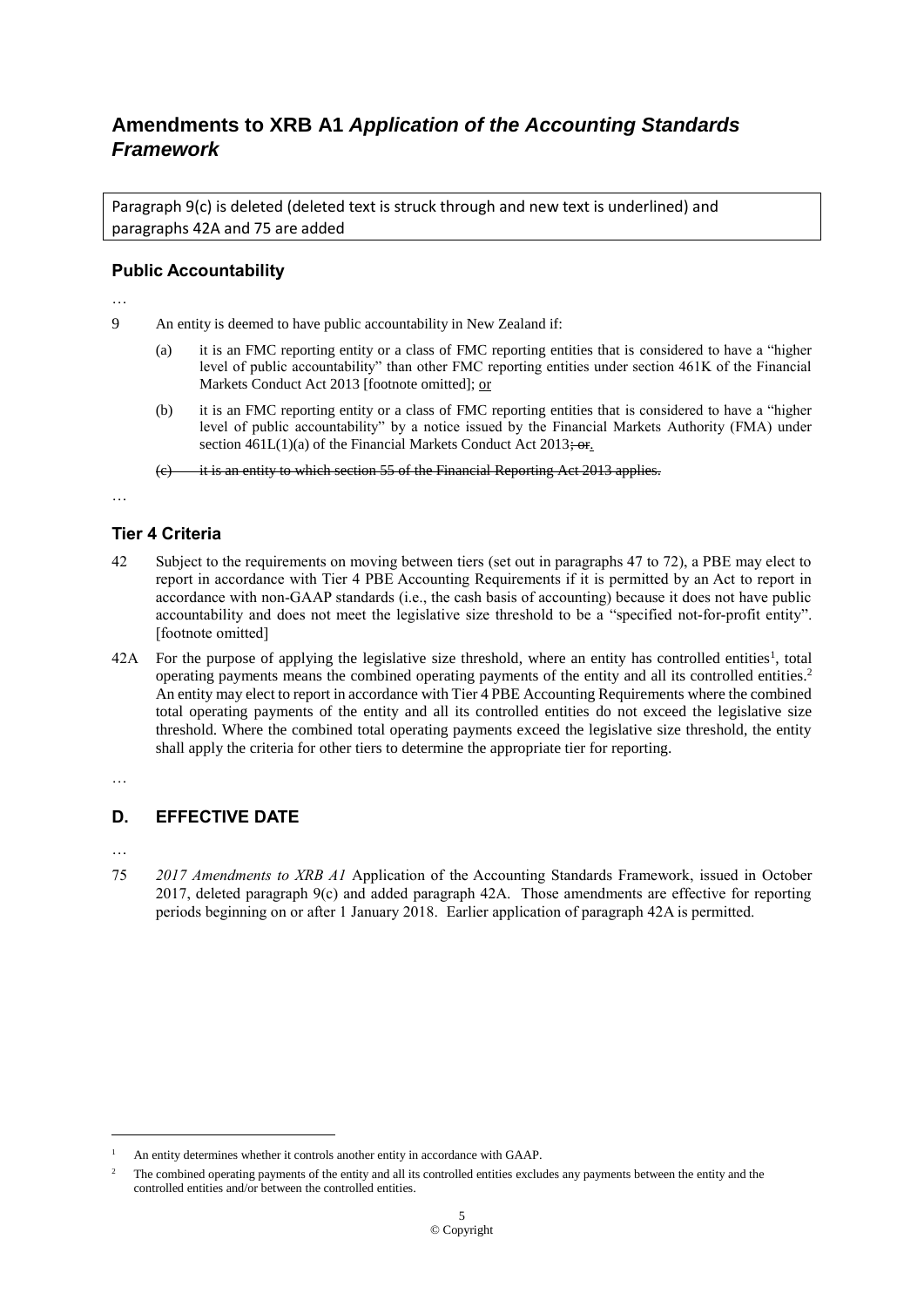# **Amendments to XRB A1** *Application of the Accounting Standards Framework*

Paragraph 9(c) is deleted (deleted text is struck through and new text is underlined) and paragraphs 42A and 75 are added

#### **Public Accountability**

…

- 9 An entity is deemed to have public accountability in New Zealand if:
	- (a) it is an FMC reporting entity or a class of FMC reporting entities that is considered to have a "higher level of public accountability" than other FMC reporting entities under section 461K of the Financial Markets Conduct Act 2013 [footnote omitted]; or
	- (b) it is an FMC reporting entity or a class of FMC reporting entities that is considered to have a "higher level of public accountability" by a notice issued by the Financial Markets Authority (FMA) under section  $461L(1)(a)$  of the Financial Markets Conduct Act  $2013\div$  or.

it is an entity to which section 55 of the Financial Reporting Act 2013 applies.

…

## **Tier 4 Criteria**

- 42 Subject to the requirements on moving between tiers (set out in paragraphs 47 to 72), a PBE may elect to report in accordance with Tier 4 PBE Accounting Requirements if it is permitted by an Act to report in accordance with non-GAAP standards (i.e., the cash basis of accounting) because it does not have public accountability and does not meet the legislative size threshold to be a "specified not-for-profit entity". [footnote omitted]
- $42A$  For the purpose of applying the legislative size threshold, where an entity has controlled entities<sup>1</sup>, total operating payments means the combined operating payments of the entity and all its controlled entities.<sup>2</sup> An entity may elect to report in accordance with Tier 4 PBE Accounting Requirements where the combined total operating payments of the entity and all its controlled entities do not exceed the legislative size threshold. Where the combined total operating payments exceed the legislative size threshold, the entity shall apply the criteria for other tiers to determine the appropriate tier for reporting.

…

## **D. EFFECTIVE DATE**

…

1

75 *2017 Amendments to XRB A1* Application of the Accounting Standards Framework, issued in October 2017, deleted paragraph 9(c) and added paragraph 42A. Those amendments are effective for reporting periods beginning on or after 1 January 2018. Earlier application of paragraph 42A is permitted.

<sup>&</sup>lt;sup>1</sup> An entity determines whether it controls another entity in accordance with GAAP.

<sup>2</sup> The combined operating payments of the entity and all its controlled entities excludes any payments between the entity and the controlled entities and/or between the controlled entities.